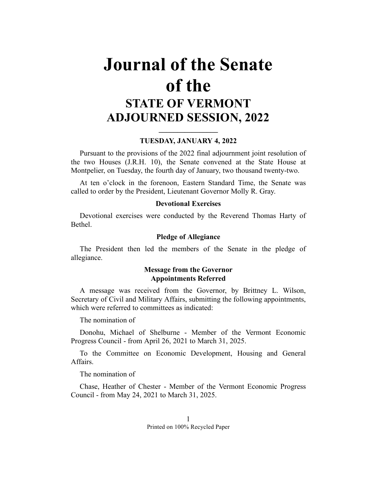# **Journal of the Senate of the STATE OF VERMONT ADJOURNED SESSION, 2022**

## **\_\_\_\_\_\_\_\_\_\_\_\_\_\_\_\_ TUESDAY, JANUARY 4, 2022**

Pursuant to the provisions of the 2022 final adjournment joint resolution of the two Houses (J.R.H. 10), the Senate convened at the State House at Montpelier, on Tuesday, the fourth day of January, two thousand twenty-two.

At ten o'clock in the forenoon, Eastern Standard Time, the Senate was called to order by the President, Lieutenant Governor Molly R. Gray.

## **Devotional Exercises**

Devotional exercises were conducted by the Reverend Thomas Harty of Bethel.

## **Pledge of Allegiance**

The President then led the members of the Senate in the pledge of allegiance.

## **Message from the Governor Appointments Referred**

A message was received from the Governor, by Brittney L. Wilson, Secretary of Civil and Military Affairs, submitting the following appointments, which were referred to committees as indicated:

The nomination of

Donohu, Michael of Shelburne - Member of the Vermont Economic Progress Council - from April 26, 2021 to March 31, 2025.

To the Committee on Economic Development, Housing and General Affairs.

The nomination of

Chase, Heather of Chester - Member of the Vermont Economic Progress Council - from May 24, 2021 to March 31, 2025.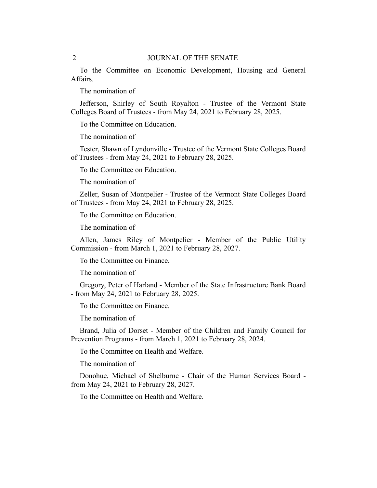To the Committee on Economic Development, Housing and General Affairs.

The nomination of

Jefferson, Shirley of South Royalton - Trustee of the Vermont State Colleges Board of Trustees - from May 24, 2021 to February 28, 2025.

To the Committee on Education.

The nomination of

Tester, Shawn of Lyndonville - Trustee of the Vermont State Colleges Board of Trustees - from May 24, 2021 to February 28, 2025.

To the Committee on Education.

The nomination of

Zeller, Susan of Montpelier - Trustee of the Vermont State Colleges Board of Trustees - from May 24, 2021 to February 28, 2025.

To the Committee on Education.

The nomination of

Allen, James Riley of Montpelier - Member of the Public Utility Commission - from March 1, 2021 to February 28, 2027.

To the Committee on Finance.

The nomination of

Gregory, Peter of Harland - Member of the State Infrastructure Bank Board - from May 24, 2021 to February 28, 2025.

To the Committee on Finance.

The nomination of

Brand, Julia of Dorset - Member of the Children and Family Council for Prevention Programs - from March 1, 2021 to February 28, 2024.

To the Committee on Health and Welfare.

The nomination of

Donohue, Michael of Shelburne - Chair of the Human Services Board from May 24, 2021 to February 28, 2027.

To the Committee on Health and Welfare.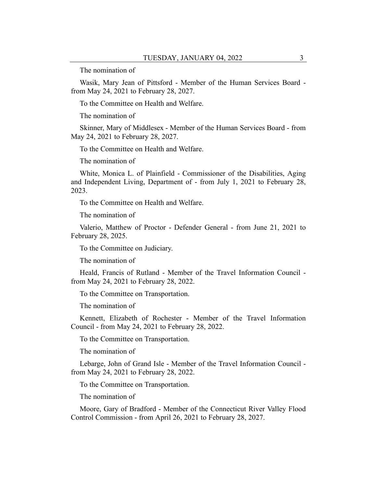The nomination of

Wasik, Mary Jean of Pittsford - Member of the Human Services Board from May 24, 2021 to February 28, 2027.

To the Committee on Health and Welfare.

The nomination of

Skinner, Mary of Middlesex - Member of the Human Services Board - from May 24, 2021 to February 28, 2027.

To the Committee on Health and Welfare.

The nomination of

White, Monica L. of Plainfield - Commissioner of the Disabilities, Aging and Independent Living, Department of - from July 1, 2021 to February 28, 2023.

To the Committee on Health and Welfare.

The nomination of

Valerio, Matthew of Proctor - Defender General - from June 21, 2021 to February 28, 2025.

To the Committee on Judiciary.

The nomination of

Heald, Francis of Rutland - Member of the Travel Information Council from May 24, 2021 to February 28, 2022.

To the Committee on Transportation.

The nomination of

Kennett, Elizabeth of Rochester - Member of the Travel Information Council - from May 24, 2021 to February 28, 2022.

To the Committee on Transportation.

The nomination of

Lebarge, John of Grand Isle - Member of the Travel Information Council from May 24, 2021 to February 28, 2022.

To the Committee on Transportation.

The nomination of

Moore, Gary of Bradford - Member of the Connecticut River Valley Flood Control Commission - from April 26, 2021 to February 28, 2027.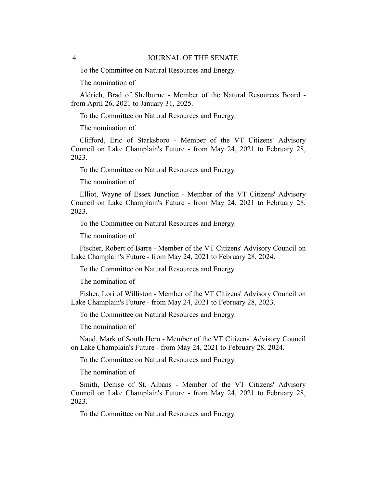To the Committee on Natural Resources and Energy.

The nomination of

Aldrich, Brad of Shelburne - Member of the Natural Resources Board from April 26, 2021 to January 31, 2025.

To the Committee on Natural Resources and Energy.

The nomination of

Clifford, Eric of Starksboro - Member of the VT Citizens' Advisory Council on Lake Champlain's Future - from May 24, 2021 to February 28, 2023.

To the Committee on Natural Resources and Energy.

The nomination of

Elliot, Wayne of Essex Junction - Member of the VT Citizens' Advisory Council on Lake Champlain's Future - from May 24, 2021 to February 28, 2023.

To the Committee on Natural Resources and Energy.

The nomination of

Fischer, Robert of Barre - Member of the VT Citizens' Advisory Council on Lake Champlain's Future - from May 24, 2021 to February 28, 2024.

To the Committee on Natural Resources and Energy.

The nomination of

Fisher, Lori of Williston - Member of the VT Citizens' Advisory Council on Lake Champlain's Future - from May 24, 2021 to February 28, 2023.

To the Committee on Natural Resources and Energy.

The nomination of

Naud, Mark of South Hero - Member of the VT Citizens' Advisory Council on Lake Champlain's Future - from May 24, 2021 to February 28, 2024.

To the Committee on Natural Resources and Energy.

The nomination of

Smith, Denise of St. Albans - Member of the VT Citizens' Advisory Council on Lake Champlain's Future - from May 24, 2021 to February 28, 2023.

To the Committee on Natural Resources and Energy.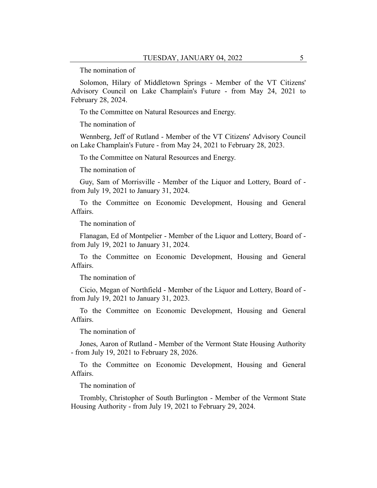The nomination of

Solomon, Hilary of Middletown Springs - Member of the VT Citizens' Advisory Council on Lake Champlain's Future - from May 24, 2021 to February 28, 2024.

To the Committee on Natural Resources and Energy.

The nomination of

Wennberg, Jeff of Rutland - Member of the VT Citizens' Advisory Council on Lake Champlain's Future - from May 24, 2021 to February 28, 2023.

To the Committee on Natural Resources and Energy.

The nomination of

Guy, Sam of Morrisville - Member of the Liquor and Lottery, Board of from July 19, 2021 to January 31, 2024.

To the Committee on Economic Development, Housing and General Affairs.

The nomination of

Flanagan, Ed of Montpelier - Member of the Liquor and Lottery, Board of from July 19, 2021 to January 31, 2024.

To the Committee on Economic Development, Housing and General Affairs.

The nomination of

Cicio, Megan of Northfield - Member of the Liquor and Lottery, Board of from July 19, 2021 to January 31, 2023.

To the Committee on Economic Development, Housing and General Affairs.

The nomination of

Jones, Aaron of Rutland - Member of the Vermont State Housing Authority - from July 19, 2021 to February 28, 2026.

To the Committee on Economic Development, Housing and General Affairs.

The nomination of

Trombly, Christopher of South Burlington - Member of the Vermont State Housing Authority - from July 19, 2021 to February 29, 2024.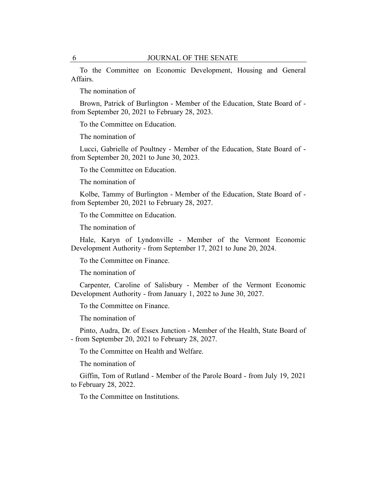To the Committee on Economic Development, Housing and General Affairs.

The nomination of

Brown, Patrick of Burlington - Member of the Education, State Board of from September 20, 2021 to February 28, 2023.

To the Committee on Education.

The nomination of

Lucci, Gabrielle of Poultney - Member of the Education, State Board of from September 20, 2021 to June 30, 2023.

To the Committee on Education.

The nomination of

Kolbe, Tammy of Burlington - Member of the Education, State Board of from September 20, 2021 to February 28, 2027.

To the Committee on Education.

The nomination of

Hale, Karyn of Lyndonville - Member of the Vermont Economic Development Authority - from September 17, 2021 to June 20, 2024.

To the Committee on Finance.

The nomination of

Carpenter, Caroline of Salisbury - Member of the Vermont Economic Development Authority - from January 1, 2022 to June 30, 2027.

To the Committee on Finance.

The nomination of

Pinto, Audra, Dr. of Essex Junction - Member of the Health, State Board of - from September 20, 2021 to February 28, 2027.

To the Committee on Health and Welfare.

The nomination of

Giffin, Tom of Rutland - Member of the Parole Board - from July 19, 2021 to February 28, 2022.

To the Committee on Institutions.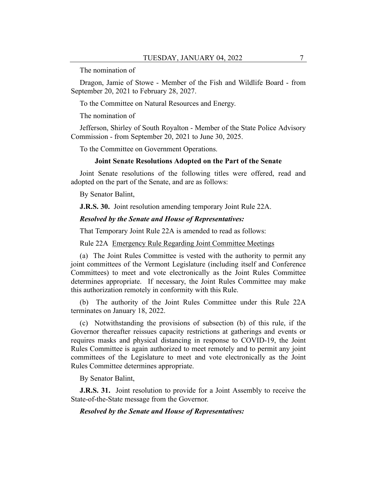The nomination of

Dragon, Jamie of Stowe - Member of the Fish and Wildlife Board - from September 20, 2021 to February 28, 2027.

To the Committee on Natural Resources and Energy.

The nomination of

Jefferson, Shirley of South Royalton - Member of the State Police Advisory Commission - from September 20, 2021 to June 30, 2025.

To the Committee on Government Operations.

#### **Joint Senate Resolutions Adopted on the Part of the Senate**

Joint Senate resolutions of the following titles were offered, read and adopted on the part of the Senate, and are as follows:

By Senator Balint,

**J.R.S. 30.** Joint resolution amending temporary Joint Rule 22A.

## *Resolved by the Senate and House of Representatives:*

That Temporary Joint Rule 22A is amended to read as follows:

Rule 22A Emergency Rule Regarding Joint Committee Meetings

(a) The Joint Rules Committee is vested with the authority to permit any joint committees of the Vermont Legislature (including itself and Conference Committees) to meet and vote electronically as the Joint Rules Committee determines appropriate. If necessary, the Joint Rules Committee may make this authorization remotely in conformity with this Rule.

(b) The authority of the Joint Rules Committee under this Rule 22A terminates on January 18, 2022.

(c) Notwithstanding the provisions of subsection (b) of this rule, if the Governor thereafter reissues capacity restrictions at gatherings and events or requires masks and physical distancing in response to COVID-19, the Joint Rules Committee is again authorized to meet remotely and to permit any joint committees of the Legislature to meet and vote electronically as the Joint Rules Committee determines appropriate.

By Senator Balint,

**J.R.S. 31.** Joint resolution to provide for a Joint Assembly to receive the State-of-the-State message from the Governor.

#### *Resolved by the Senate and House of Representatives:*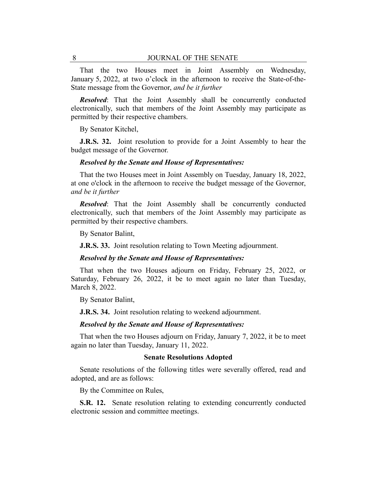That the two Houses meet in Joint Assembly on Wednesday, January 5, 2022, at two o'clock in the afternoon to receive the State-of-the-State message from the Governor, *and be it further*

*Resolved*: That the Joint Assembly shall be concurrently conducted electronically, such that members of the Joint Assembly may participate as permitted by their respective chambers.

By Senator Kitchel,

**J.R.S. 32.** Joint resolution to provide for a Joint Assembly to hear the budget message of the Governor.

### *Resolved by the Senate and House of Representatives:*

That the two Houses meet in Joint Assembly on Tuesday, January 18, 2022, at one o'clock in the afternoon to receive the budget message of the Governor, *and be it further*

*Resolved*: That the Joint Assembly shall be concurrently conducted electronically, such that members of the Joint Assembly may participate as permitted by their respective chambers.

By Senator Balint,

**J.R.S. 33.** Joint resolution relating to Town Meeting adjournment.

#### *Resolved by the Senate and House of Representatives:*

That when the two Houses adjourn on Friday, February 25, 2022, or Saturday, February 26, 2022, it be to meet again no later than Tuesday, March 8, 2022.

By Senator Balint,

**J.R.S. 34.** Joint resolution relating to weekend adjournment.

#### *Resolved by the Senate and House of Representatives:*

That when the two Houses adjourn on Friday, January 7, 2022, it be to meet again no later than Tuesday, January 11, 2022.

#### **Senate Resolutions Adopted**

Senate resolutions of the following titles were severally offered, read and adopted, and are as follows:

By the Committee on Rules,

**S.R. 12.** Senate resolution relating to extending concurrently conducted electronic session and committee meetings.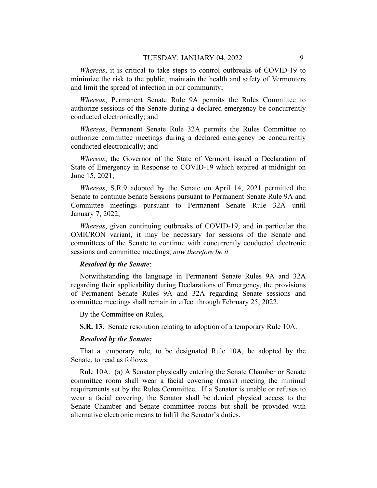*Whereas*, it is critical to take steps to control outbreaks of COVID-19 to minimize the risk to the public, maintain the health and safety of Vermonters and limit the spread of infection in our community;

*Whereas*, Permanent Senate Rule 9A permits the Rules Committee to authorize sessions of the Senate during a declared emergency be concurrently conducted electronically; and

*Whereas*, Permanent Senate Rule 32A permits the Rules Committee to authorize committee meetings during a declared emergency be concurrently conducted electronically; and

*Whereas*, the Governor of the State of Vermont issued a Declaration of State of Emergency in Response to COVID-19 which expired at midnight on June 15, 2021;

*Whereas*, S.R.9 adopted by the Senate on April 14, 2021 permitted the Senate to continue Senate Sessions pursuant to Permanent Senate Rule 9A and Committee meetings pursuant to Permanent Senate Rule 32A until January 7, 2022;

*Whereas*, given continuing outbreaks of COVID-19, and in particular the OMICRON variant, it may be necessary for sessions of the Senate and committees of the Senate to continue with concurrently conducted electronic sessions and committee meetings; *now therefore be it*

## *Resolved by the Senate*:

Notwithstanding the language in Permanent Senate Rules 9A and 32A regarding their applicability during Declarations of Emergency, the provisions of Permanent Senate Rules 9A and 32A regarding Senate sessions and committee meetings shall remain in effect through February 25, 2022.

By the Committee on Rules,

**S.R. 13.** Senate resolution relating to adoption of a temporary Rule 10A.

## *Resolved by the Senate:*

That a temporary rule, to be designated Rule 10A, be adopted by the Senate, to read as follows:

Rule 10A. (a) A Senator physically entering the Senate Chamber or Senate committee room shall wear a facial covering (mask) meeting the minimal requirements set by the Rules Committee. If a Senator is unable or refuses to wear a facial covering, the Senator shall be denied physical access to the Senate Chamber and Senate committee rooms but shall be provided with alternative electronic means to fulfil the Senator's duties.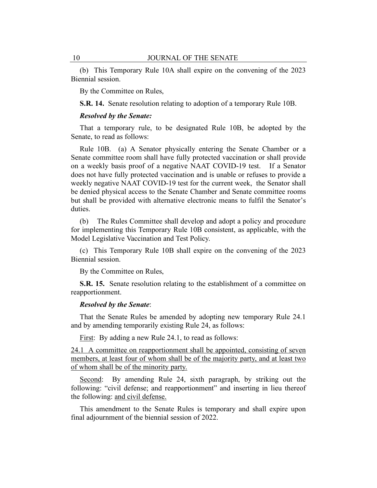(b) This Temporary Rule 10A shall expire on the convening of the 2023 Biennial session.

By the Committee on Rules,

**S.R. 14.** Senate resolution relating to adoption of a temporary Rule 10B.

#### *Resolved by the Senate:*

That a temporary rule, to be designated Rule 10B, be adopted by the Senate, to read as follows:

Rule 10B. (a) A Senator physically entering the Senate Chamber or a Senate committee room shall have fully protected vaccination or shall provide on a weekly basis proof of a negative NAAT COVID-19 test. If a Senator does not have fully protected vaccination and is unable or refuses to provide a weekly negative NAAT COVID-19 test for the current week, the Senator shall be denied physical access to the Senate Chamber and Senate committee rooms but shall be provided with alternative electronic means to fulfil the Senator's duties.

(b) The Rules Committee shall develop and adopt a policy and procedure for implementing this Temporary Rule 10B consistent, as applicable, with the Model Legislative Vaccination and Test Policy.

(c) This Temporary Rule 10B shall expire on the convening of the 2023 Biennial session.

By the Committee on Rules,

**S.R. 15.** Senate resolution relating to the establishment of a committee on reapportionment.

## *Resolved by the Senate*:

That the Senate Rules be amended by adopting new temporary Rule 24.1 and by amending temporarily existing Rule 24, as follows:

First: By adding a new Rule 24.1, to read as follows:

24.1 A committee on reapportionment shall be appointed, consisting of seven members, at least four of whom shall be of the majority party, and at least two of whom shall be of the minority party.

Second: By amending Rule 24, sixth paragraph, by striking out the following: "civil defense; and reapportionment" and inserting in lieu thereof the following: and civil defense.

This amendment to the Senate Rules is temporary and shall expire upon final adjournment of the biennial session of 2022.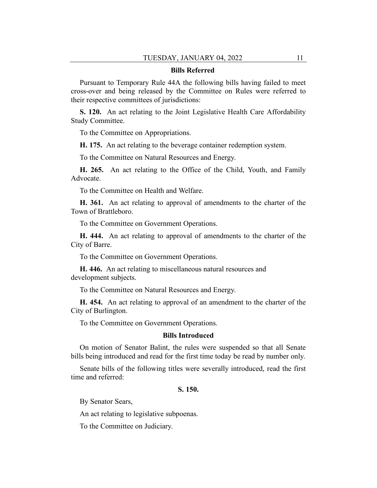#### **Bills Referred**

Pursuant to Temporary Rule 44A the following bills having failed to meet cross-over and being released by the Committee on Rules were referred to their respective committees of jurisdictions:

**S. 120.** An act relating to the Joint Legislative Health Care Affordability Study Committee.

To the Committee on Appropriations.

**H. 175.** An act relating to the beverage container redemption system.

To the Committee on Natural Resources and Energy.

**H. 265.** An act relating to the Office of the Child, Youth, and Family Advocate.

To the Committee on Health and Welfare.

**H. 361.** An act relating to approval of amendments to the charter of the Town of Brattleboro.

To the Committee on Government Operations.

**H. 444.** An act relating to approval of amendments to the charter of the City of Barre.

To the Committee on Government Operations.

**H. 446.** An act relating to miscellaneous natural resources and development subjects.

To the Committee on Natural Resources and Energy.

**H. 454.** An act relating to approval of an amendment to the charter of the City of Burlington.

To the Committee on Government Operations.

#### **Bills Introduced**

On motion of Senator Balint, the rules were suspended so that all Senate bills being introduced and read for the first time today be read by number only.

Senate bills of the following titles were severally introduced, read the first time and referred:

#### **S. 150.**

By Senator Sears,

An act relating to legislative subpoenas.

To the Committee on Judiciary.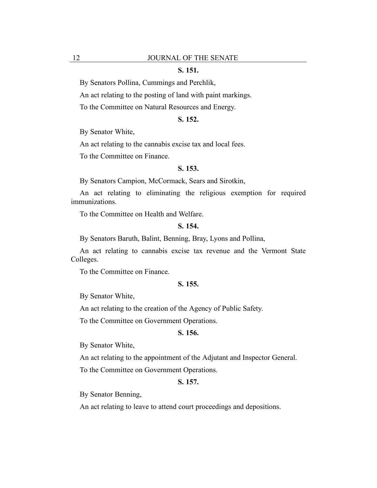## **S. 151.**

By Senators Pollina, Cummings and Perchlik,

An act relating to the posting of land with paint markings.

To the Committee on Natural Resources and Energy.

## **S. 152.**

By Senator White,

An act relating to the cannabis excise tax and local fees.

To the Committee on Finance.

#### **S. 153.**

By Senators Campion, McCormack, Sears and Sirotkin,

An act relating to eliminating the religious exemption for required immunizations.

To the Committee on Health and Welfare.

#### **S. 154.**

By Senators Baruth, Balint, Benning, Bray, Lyons and Pollina,

An act relating to cannabis excise tax revenue and the Vermont State Colleges.

To the Committee on Finance.

## **S. 155.**

By Senator White,

An act relating to the creation of the Agency of Public Safety.

To the Committee on Government Operations.

## **S. 156.**

By Senator White,

An act relating to the appointment of the Adjutant and Inspector General.

To the Committee on Government Operations.

## **S. 157.**

By Senator Benning,

An act relating to leave to attend court proceedings and depositions.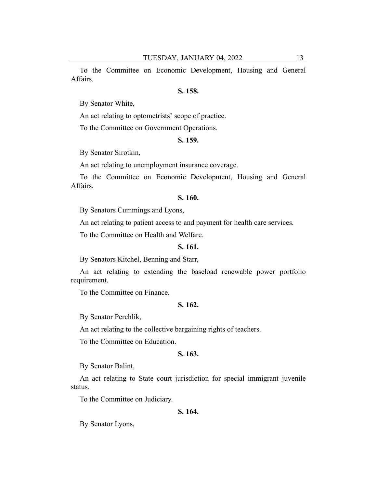To the Committee on Economic Development, Housing and General Affairs.

#### **S. 158.**

By Senator White,

An act relating to optometrists' scope of practice.

To the Committee on Government Operations.

## **S. 159.**

By Senator Sirotkin,

An act relating to unemployment insurance coverage.

To the Committee on Economic Development, Housing and General Affairs.

## **S. 160.**

By Senators Cummings and Lyons,

An act relating to patient access to and payment for health care services.

To the Committee on Health and Welfare.

#### **S. 161.**

By Senators Kitchel, Benning and Starr,

An act relating to extending the baseload renewable power portfolio requirement.

To the Committee on Finance.

## **S. 162.**

By Senator Perchlik,

An act relating to the collective bargaining rights of teachers.

To the Committee on Education.

## **S. 163.**

By Senator Balint,

An act relating to State court jurisdiction for special immigrant juvenile status.

To the Committee on Judiciary.

#### **S. 164.**

By Senator Lyons,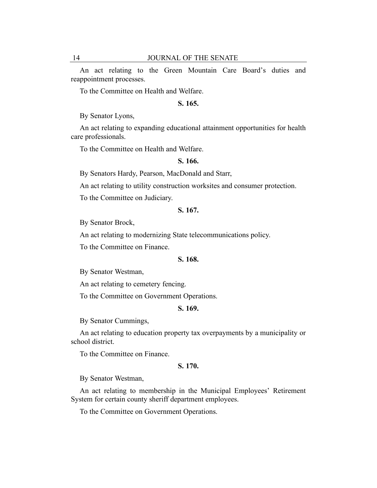An act relating to the Green Mountain Care Board's duties and reappointment processes.

To the Committee on Health and Welfare.

## **S. 165.**

By Senator Lyons,

An act relating to expanding educational attainment opportunities for health care professionals.

To the Committee on Health and Welfare.

#### **S. 166.**

By Senators Hardy, Pearson, MacDonald and Starr,

An act relating to utility construction worksites and consumer protection.

To the Committee on Judiciary.

#### **S. 167.**

By Senator Brock,

An act relating to modernizing State telecommunications policy.

To the Committee on Finance.

#### **S. 168.**

By Senator Westman,

An act relating to cemetery fencing.

To the Committee on Government Operations.

## **S. 169.**

By Senator Cummings,

An act relating to education property tax overpayments by a municipality or school district.

To the Committee on Finance.

## **S. 170.**

By Senator Westman,

An act relating to membership in the Municipal Employees' Retirement System for certain county sheriff department employees.

To the Committee on Government Operations.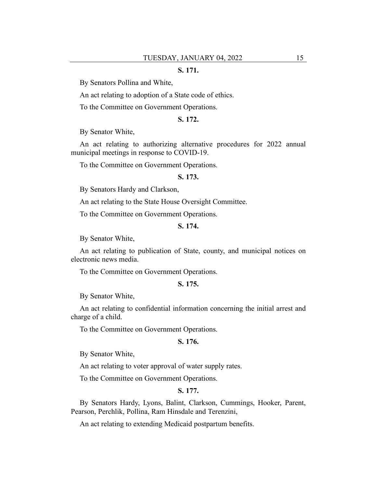## **S. 171.**

By Senators Pollina and White,

An act relating to adoption of a State code of ethics.

To the Committee on Government Operations.

## **S. 172.**

By Senator White,

An act relating to authorizing alternative procedures for 2022 annual municipal meetings in response to COVID-19.

To the Committee on Government Operations.

## **S. 173.**

By Senators Hardy and Clarkson,

An act relating to the State House Oversight Committee.

To the Committee on Government Operations.

#### **S. 174.**

By Senator White,

An act relating to publication of State, county, and municipal notices on electronic news media.

To the Committee on Government Operations.

## **S. 175.**

By Senator White,

An act relating to confidential information concerning the initial arrest and charge of a child.

To the Committee on Government Operations.

### **S. 176.**

By Senator White,

An act relating to voter approval of water supply rates.

To the Committee on Government Operations.

## **S. 177.**

By Senators Hardy, Lyons, Balint, Clarkson, Cummings, Hooker, Parent, Pearson, Perchlik, Pollina, Ram Hinsdale and Terenzini,

An act relating to extending Medicaid postpartum benefits.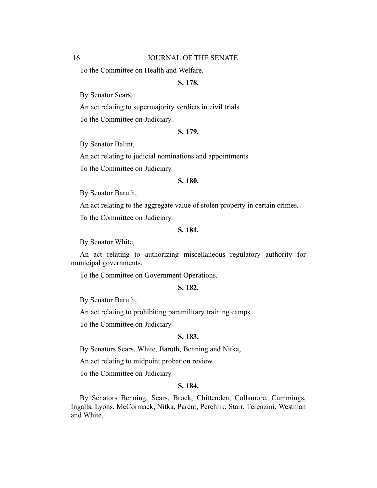To the Committee on Health and Welfare.

## **S. 178.**

By Senator Sears,

An act relating to supermajority verdicts in civil trials.

To the Committee on Judiciary.

### **S. 179.**

By Senator Balint,

An act relating to judicial nominations and appointments.

To the Committee on Judiciary.

## **S. 180.**

By Senator Baruth,

An act relating to the aggregate value of stolen property in certain crimes.

To the Committee on Judiciary.

#### **S. 181.**

By Senator White,

An act relating to authorizing miscellaneous regulatory authority for municipal governments.

To the Committee on Government Operations.

#### **S. 182.**

By Senator Baruth,

An act relating to prohibiting paramilitary training camps.

To the Committee on Judiciary.

## **S. 183.**

By Senators Sears, White, Baruth, Benning and Nitka,

An act relating to midpoint probation review.

To the Committee on Judiciary.

## **S. 184.**

By Senators Benning, Sears, Brock, Chittenden, Collamore, Cummings, Ingalls, Lyons, McCormack, Nitka, Parent, Perchlik, Starr, Terenzini, Westman and White,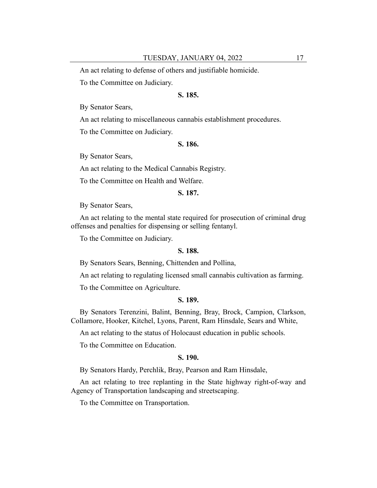An act relating to defense of others and justifiable homicide.

To the Committee on Judiciary.

## **S. 185.**

By Senator Sears,

An act relating to miscellaneous cannabis establishment procedures.

To the Committee on Judiciary.

#### **S. 186.**

By Senator Sears,

An act relating to the Medical Cannabis Registry.

To the Committee on Health and Welfare.

## **S. 187.**

By Senator Sears,

An act relating to the mental state required for prosecution of criminal drug offenses and penalties for dispensing or selling fentanyl.

To the Committee on Judiciary.

## **S. 188.**

By Senators Sears, Benning, Chittenden and Pollina,

An act relating to regulating licensed small cannabis cultivation as farming.

To the Committee on Agriculture.

#### **S. 189.**

By Senators Terenzini, Balint, Benning, Bray, Brock, Campion, Clarkson, Collamore, Hooker, Kitchel, Lyons, Parent, Ram Hinsdale, Sears and White,

An act relating to the status of Holocaust education in public schools.

To the Committee on Education.

## **S. 190.**

By Senators Hardy, Perchlik, Bray, Pearson and Ram Hinsdale,

An act relating to tree replanting in the State highway right-of-way and Agency of Transportation landscaping and streetscaping.

To the Committee on Transportation.